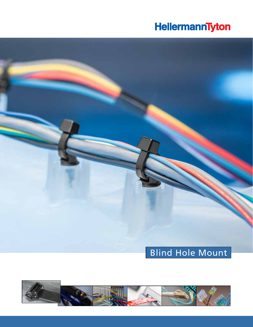# **HellermannTyton**

# Blind Hole Mount

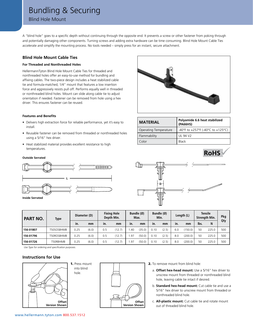# Bundling & Securing

Blind Hole Mount

A "blind hole" goes to a specific depth without continuing through the opposite end. It prevents a screw or other fastener from poking through and potentially damaging other components. Turning screws and adding extra hardware can be time consuming. Blind Hole Mount Cable Ties accelerate and simplify the mounting process. No tools needed – simply press for an instant, secure attachment.

# **Blind Hole Mount Cable Ties**

### **For Threaded and Nonthreaded Holes**

HellermannTyton Blind Hole Mount Cable Ties for threaded and nonthreaded holes offer an easy-to-use method for bundling and affixing cables. The two-piece design includes a heat stabilized cable tie and formula-matched, 1/4" mount that features a low insertion force and aggressively resists pull off. Performs equally well in threaded or nonthreaded blind holes. Mount can slide along cable tie to adjust orientation if needed. Fastener can be removed from hole using a hex driver. This ensures fastener can be reused.

#### **Features and Benefits**

- Delivers high extraction force for reliable performance, yet it's easy to install.
- Reusable fastener can be removed from threaded or nonthreaded holes using a 5/16" hex driver.
- Heat stabilized material provides excellent resistance to high temperatures.



#### **Outside Serrated**



**Inside Serrated**



RoHS

| PART NO.  | <b>Type</b> | Diameter (D) |       | <b>Fixing Hole</b><br>Depth Min. |        | Bundle (Ø)<br>Max. |        | Bundle (Ø)<br>Min. |       |     | Length (L) | <b>Tensile</b><br><b>Strength Min.</b> | Pkg   |     |
|-----------|-------------|--------------|-------|----------------------------------|--------|--------------------|--------|--------------------|-------|-----|------------|----------------------------------------|-------|-----|
|           |             | in.          | mm    | in.                              | mm     | in.                | mm     | in.                | mm    | in. | mm         | lbs.                                   | N     | Qty |
| 156-01807 | T50SOSBHMB  | 0.25         | (6.0) | 0.5                              | (12.7) | .40                | (35.0) | 0.10               | (2.5) | 6.0 | (150.0)    | 50                                     | 225.0 | 500 |
| 156-01796 | T50ROSBHMB  | 0.25         | (6.0) | 0.5                              | (12.7) | .97                | (50.0) | 0.10               | (2.5) | 8.0 | (200.0)    | 50                                     | 225.0 | 500 |
| 156-01726 | T50RBHMB    | 0.25         | (6.0) | 0.5                              | (12.7) | .97                | (50.0) | 0.10               | (2.5) | 8.0 | (200.0)    | 50                                     | 225.0 | 500 |

*Use Type for ordering and specification purposes.*

### **Instructions for Use**





- 2. To remove mount from blind hole:
	- a. **Offset hex-head mount:** Use a 5/16" hex driver to unscrew mount from threaded or nonthreaded blind hole, leaving cable tie intact if desired.
	- b. **Standard hex-head mount:** Cut cable tie and use a 5/16" hex driver to unscrew mount from threaded or nonthreaded blind hole.
	- c. **All-plastic mount:** Cut cable tie and rotate mount out of threaded blind hole.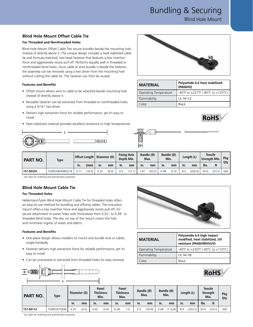Bundling & Securing

Blind Hole Mount

### **Blind Hole Mount Offset Cable Tie**

#### **For Threaded and Nonthreaded Holes**

Blind Hole Mount Offset Cable Ties secure bundles beside the mounting hole instead of directly above it. The unique design includes a heat stabilized cable tie and formula-matched, hex-head fastener that features a low insertion force and aggressively resists pull off. Performs equally well in threaded or nonthreaded blind holes. Since cable or wire bundle is beside the fastener, the assembly can be removed using a hex driver from the mounting hole without cutting the cable tie. The fastener can then be reused.

#### **Features and Benefits**

- Offset mount allows wire or cable to be attached beside mounting hole instead of directly above it.
- Reusable fastener can be extracted from threaded or nonthreaded holes using a 5/16" hex driver.
- Delivers high extraction force for reliable performance, yet it's easy to install.
- Heat stabilized material provides excellent resistance to high temperatures.





| <b>MATERIAL</b>       | Polyamide 6.6 heat stabilized<br>(PA66HS) |
|-----------------------|-------------------------------------------|
| Operating Temperature | -40°F to +257°F (-40°C to +125°C)         |
| Flammability          | UL 94 V <sub>2</sub>                      |
| Color                 | <b>Black</b>                              |





| <b>PART NO.</b> | <b>Type</b>    |      | Offset Length |      | Diameter (D) |     | <b>Fixing Hole</b><br>Depth Min. |     | Bundle (Ø)<br>Max. | Min. | Bundle (Ø) | Length (L) |         | Tensile<br><b>Strength Min.</b> |       | Pkg |
|-----------------|----------------|------|---------------|------|--------------|-----|----------------------------------|-----|--------------------|------|------------|------------|---------|---------------------------------|-------|-----|
|                 |                | In.  | (mm)          | in.  | mm           | In. | mm                               | In. | mm                 | In.  | mm         | In.        | mm      | lbs.                            |       | Qty |
| 157-00329       | T50ROSBHMBSO18 | 0.71 | (18.0)        | 0.25 | (6.0)        | 0.5 |                                  | .97 | (50.0)             | 0.08 | (2.0)      | 8.0        | (200.0) | 50.0                            | 225.0 | 500 |

*Use Type for ordering and specification purposes.*

# **Blind Hole Mount Cable Tie**

### **For Threaded Holes**

HellermannTyton Blind Hole Mount Cable Tie for threaded holes offers an easy-to-use method for bundling and affixing cables. The one-piece mount offers a low insertion force and aggressively resists pull off, for secure attachment to panel holes with thicknesses from 0.02" to 0.28" or threaded blind holes. The disc on top of the mount covers the hole and minimizes ingress of water and debris.

#### **Features and Benefits**

**D**

- One-piece design allows installers to mount and bundle wire or cables single-handedly.
- Fastener delivers high extraction force for reliable performance, yet it's easy to install.
- Can be unscrewed or extracted from threaded holes for easy removal.

**L**



| <b>MATERIAL</b>              | Polyamide 6.6 high impact<br>modified, heat stabilized, UV<br>resistant (PA66HIRHSUV) |
|------------------------------|---------------------------------------------------------------------------------------|
| <b>Operating Temperature</b> | -40°F to +230°F (-40°C to +110°C)                                                     |
| Flammability                 | UL 94 HB                                                                              |
| Color:                       | <b>Black</b>                                                                          |



| <b>PART</b><br>NO. | <b>Type</b> | Diameter (D) |       |      | Panel<br><b>Thickness</b><br>Min. | Panel<br><b>Thickness</b><br>Max. |     |     | Bundle (Ø)<br>Max. |      | Bundle (Ø)<br>Min. | Length (L) |         |      | <b>Tensile</b><br>Strength<br>Min. |     |
|--------------------|-------------|--------------|-------|------|-----------------------------------|-----------------------------------|-----|-----|--------------------|------|--------------------|------------|---------|------|------------------------------------|-----|
|                    |             | in.          | mm    | in.  | mm                                | in.                               | mm  | in. | mm                 | in.  | mm                 | in.        | mm      | Ibs. | N                                  |     |
| 157-00112          | T50ROSFTQM6 | 0.25         | (6.0) | 0.02 | (0.6)                             | 0.28                              | 7.0 | 2.0 | (50.8)             | 0.06 | .524)              | 8.0        | (203.2) | 50.0 | 225.0                              | 500 |

*Use Type for ordering and specification purposes.*